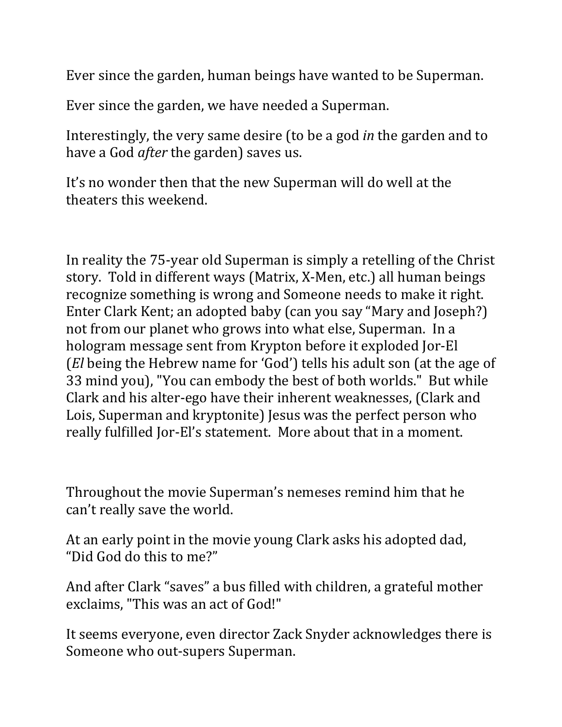Ever since the garden, human beings have wanted to be Superman.

Ever since the garden, we have needed a Superman.

Interestingly, the very same desire (to be a god *in* the garden and to have a God *after* the garden) saves us.

It's no wonder then that the new Superman will do well at the theaters this weekend. 

In reality the 75-year old Superman is simply a retelling of the Christ story. Told in different ways (Matrix, X-Men, etc.) all human beings recognize something is wrong and Someone needs to make it right. Enter Clark Kent; an adopted baby (can you say "Mary and Joseph?) not from our planet who grows into what else, Superman. In a hologram message sent from Krypton before it exploded Jor-El (*El* being the Hebrew name for 'God') tells his adult son (at the age of 33 mind you), "You can embody the best of both worlds." But while Clark and his alter-ego have their inherent weaknesses, (Clark and Lois, Superman and kryptonite) Jesus was the perfect person who really fulfilled Jor-El's statement. More about that in a moment.

Throughout the movie Superman's nemeses remind him that he can't really save the world.

At an early point in the movie young Clark asks his adopted dad, "Did God do this to me?"

And after Clark "saves" a bus filled with children, a grateful mother exclaims, "This was an act of God!"

It seems everyone, even director Zack Snyder acknowledges there is Someone who out-supers Superman.